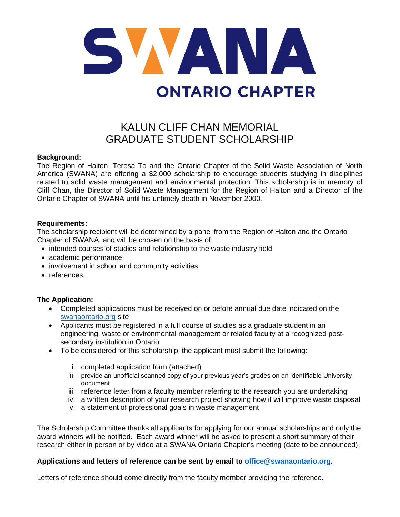

# KALUN CLIFF CHAN MEMORIAL GRADUATE STUDENT SCHOLARSHIP

### **Background:**

The Region of Halton, Teresa To and the Ontario Chapter of the Solid Waste Association of North America (SWANA) are offering a \$2,000 scholarship to encourage students studying in disciplines related to solid waste management and environmental protection. This scholarship is in memory of Cliff Chan, the Director of Solid Waste Management for the Region of Halton and a Director of the Ontario Chapter of SWANA until his untimely death in November 2000.

#### **Requirements:**

The scholarship recipient will be determined by a panel from the Region of Halton and the Ontario Chapter of SWANA, and will be chosen on the basis of:

- intended courses of studies and relationship to the waste industry field
- academic performance;
- involvement in school and community activities
- references.

### **The Application:**

- Completed applications must be received on or before annual due date indicated on the [swanaontario.org](http://www.swanaontario.org/) site
- Applicants must be registered in a full course of studies as a graduate student in an engineering, waste or environmental management or related faculty at a recognized postsecondary institution in Ontario
- To be considered for this scholarship, the applicant must submit the following:
	- i. completed application form (attached)
	- ii. provide an unofficial scanned copy of your previous year's grades on an identifiable University document
	- iii. reference letter from a faculty member referring to the research you are undertaking
	- iv. a written description of your research project showing how it will improve waste disposal
	- v. a statement of professional goals in waste management

The Scholarship Committee thanks all applicants for applying for our annual scholarships and only the award winners will be notified. Each award winner will be asked to present a short summary of their research either in person or by video at a SWANA Ontario Chapter's meeting (date to be announced).

### **Applications and letters of reference can be sent by email to [office@swanaontario.org.](../2017/office@swanaontario.org)**

Letters of reference should come directly from the faculty member providing the reference**.**